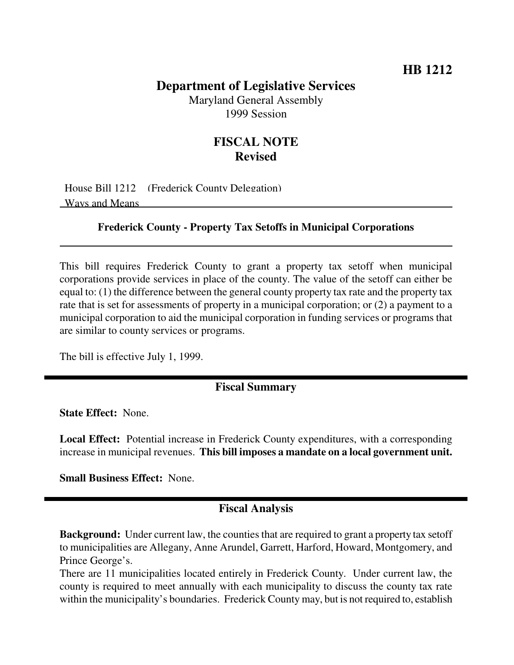## **Department of Legislative Services**

Maryland General Assembly 1999 Session

## **FISCAL NOTE Revised**

House Bill 1212 (Frederick County Delegation) Ways and Means

#### **Frederick County - Property Tax Setoffs in Municipal Corporations**

This bill requires Frederick County to grant a property tax setoff when municipal corporations provide services in place of the county. The value of the setoff can either be equal to: (1) the difference between the general county property tax rate and the property tax rate that is set for assessments of property in a municipal corporation; or (2) a payment to a municipal corporation to aid the municipal corporation in funding services or programs that are similar to county services or programs.

The bill is effective July 1, 1999.

### **Fiscal Summary**

**State Effect:** None.

**Local Effect:** Potential increase in Frederick County expenditures, with a corresponding increase in municipal revenues. **This bill imposes a mandate on a local government unit.**

**Small Business Effect:** None.

#### **Fiscal Analysis**

**Background:** Under current law, the counties that are required to grant a property tax setoff to municipalities are Allegany, Anne Arundel, Garrett, Harford, Howard, Montgomery, and Prince George's.

There are 11 municipalities located entirely in Frederick County. Under current law, the county is required to meet annually with each municipality to discuss the county tax rate within the municipality's boundaries. Frederick County may, but is not required to, establish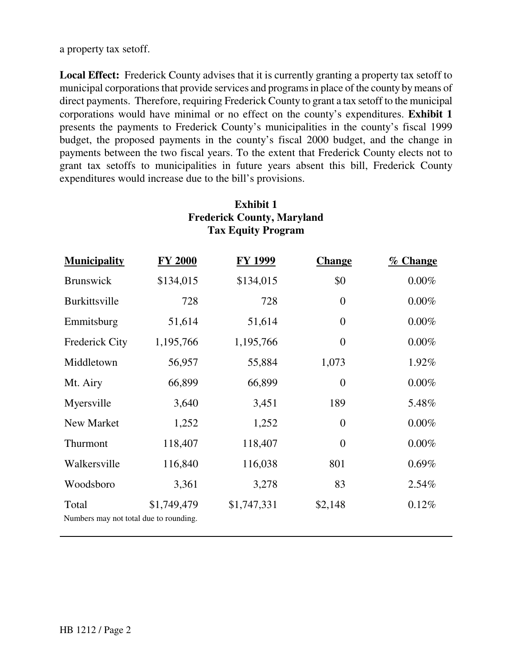**Local Effect:** Frederick County advises that it is currently granting a property tax setoff to municipal corporations that provide services and programsin place of the county bymeans of direct payments. Therefore, requiring Frederick County to grant a tax setoff to the municipal corporations would have minimal or no effect on the county's expenditures. **Exhibit 1** presents the payments to Frederick County's municipalities in the county's fiscal 1999 budget, the proposed payments in the county's fiscal 2000 budget, and the change in payments between the two fiscal years. To the extent that Frederick County elects not to grant tax setoffs to municipalities in future years absent this bill, Frederick County expenditures would increase due to the bill's provisions.

| <b>Tax Equity Program</b>                       |                |                |                |          |  |
|-------------------------------------------------|----------------|----------------|----------------|----------|--|
| <b>Municipality</b>                             | <b>FY 2000</b> | <b>FY 1999</b> | <b>Change</b>  | % Change |  |
| Brunswick                                       | \$134,015      | \$134,015      | \$0            | $0.00\%$ |  |
| <b>Burkittsville</b>                            | 728            | 728            | $\theta$       | $0.00\%$ |  |
| Emmitsburg                                      | 51,614         | 51,614         | $\overline{0}$ | $0.00\%$ |  |
| Frederick City                                  | 1,195,766      | 1,195,766      | $\overline{0}$ | 0.00%    |  |
| Middletown                                      | 56,957         | 55,884         | 1,073          | 1.92%    |  |
| Mt. Airy                                        | 66,899         | 66,899         | $\overline{0}$ | 0.00%    |  |
| Myersville                                      | 3,640          | 3,451          | 189            | 5.48%    |  |
| New Market                                      | 1,252          | 1,252          | $\overline{0}$ | $0.00\%$ |  |
| Thurmont                                        | 118,407        | 118,407        | $\overline{0}$ | $0.00\%$ |  |
| Walkersville                                    | 116,840        | 116,038        | 801            | 0.69%    |  |
| Woodsboro                                       | 3,361          | 3,278          | 83             | 2.54%    |  |
| Total<br>Numbers may not total due to rounding. | \$1,749,479    | \$1,747,331    | \$2,148        | 0.12%    |  |

# **Exhibit 1 Frederick County, Maryland Tax Equity Program**